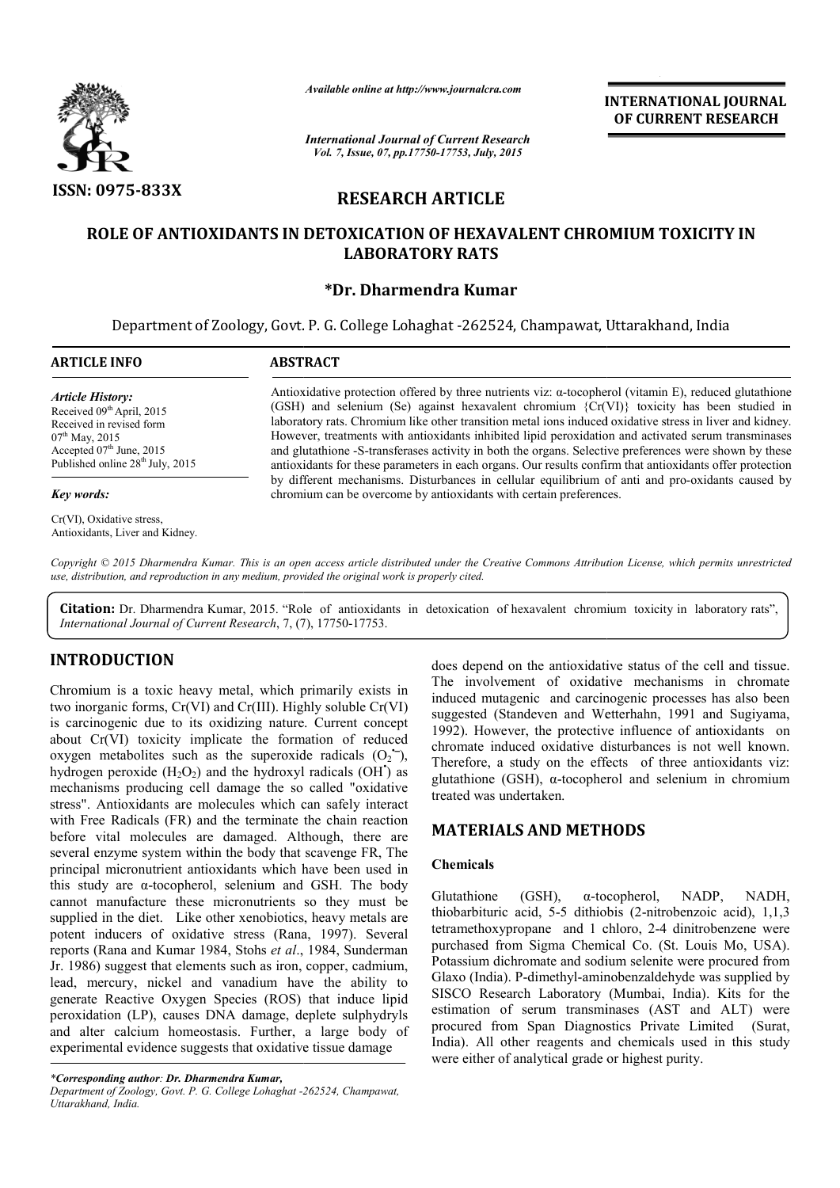

*Available online at http://www.journalcra.com*

*International Journal of Current Research Vol. 7, Issue, 07, pp.17750-17753, July, 2015*

**INTERNATIONAL INTERNATIONAL JOURNAL OF CURRENT RESEARCH** 

# **RESEARCH ARTICLE**

# **ROLE OF ANTIOXIDANTS IN DETOXICATION OF HEXAVALENT CHROMIUM TOXICITY IN LABORATORY RATS**

# **\*Dr. Dharmendra Kumar**

Department of Zoology, Govt. P. G. College Lohaghat -262524, Champawat, Uttarakhand, India 262524, Champawat, Uttarakhand, India

| ARTICLE INFO                                                                                                                                                                                      | <b>ABSTRACT</b>                                                                                                                                                                                                                                                                                                                                                                                                                                                                                                                                                                                                                                           |  |
|---------------------------------------------------------------------------------------------------------------------------------------------------------------------------------------------------|-----------------------------------------------------------------------------------------------------------------------------------------------------------------------------------------------------------------------------------------------------------------------------------------------------------------------------------------------------------------------------------------------------------------------------------------------------------------------------------------------------------------------------------------------------------------------------------------------------------------------------------------------------------|--|
| Article History:<br>Received 09 <sup>th</sup> April, 2015<br>Received in revised form<br>$07^{\text{th}}$ May, 2015<br>Accepted $07th$ June, 2015<br>Published online 28 <sup>th</sup> July, 2015 | Antioxidative protection offered by three nutrients viz: $\alpha$ -tocopherol (vitamin E), reduced glutathione<br>(GSH) and selenium (Se) against hexavalent chromium $\{Cr(VI)\}\$ toxicity has been studied in<br>laboratory rats. Chromium like other transition metal ions induced oxidative stress in liver and kidney.<br>However, treatments with antioxidants inhibited lipid peroxidation and activated serum transminases<br>and glutathione -S-transferases activity in both the organs. Selective preferences were shown by these<br>antioxidants for these parameters in each organs. Our results confirm that antioxidants offer protection |  |
| Key words:                                                                                                                                                                                        | by different mechanisms. Disturbances in cellular equilibrium of anti and pro-oxidants caused by<br>chromium can be overcome by antioxidants with certain preferences.                                                                                                                                                                                                                                                                                                                                                                                                                                                                                    |  |

Copyright © 2015 Dharmendra Kumar. This is an open access article distributed under the Creative Commons Attribution License, which permits unrestricted *use, distribution, and reproduction in any medium, provided the original work is properly cited.*

Citation: Dr. Dharmendra Kumar, 2015. "Role of antioxidants in detoxication of hexavalent chromium toxicity in laboratory rats", International Journal of Current Research, 7, (7), 17750-17753.

# **INTRODUCTION**

Cr(VI), Oxidative stress, Antioxidants, Liver and Kidney.

Chromium is a toxic heavy metal, which primarily exists in two inorganic forms, Cr(VI) and Cr(III). Highly soluble Cr(VI) is carcinogenic due to its oxidizing nature. Current concept about Cr(VI) toxicity implicate the formation of reduced oxygen metabolites such as the superoxide radicals  $(O_2^-)$ , hydrogen peroxide  $(H_2O_2)$  and the hydroxyl radicals  $(OH')$  as mechanisms producing cell damage the so called "oxidative stress". Antioxidants are molecules which can safely interact with Free Radicals (FR) and the terminate the chain reaction before vital molecules are damaged. Although, there are several enzyme system within the body that scavenge FR, The principal micronutrient antioxidants which have been used in this study are α-tocopherol, selenium and GSH. The cannot manufacture these micronutrients so they must be supplied in the diet. Like other xenobiotics, heavy metals are potent inducers of oxidative stress (Rana, 1997). Several reports (Rana and Kumar 1984, Stohs *et al*., 1984, Sunderman Jr. 1986) suggest that elements such as iron, copper, cadmium, lead, mercury, nickel and vanadium have the ability to generate Reactive Oxygen Species (ROS) that induce lipid peroxidation (LP), causes DNA damage, deplete sulphydryls and alter calcium homeostasis. Further, a large body of experimental evidence suggests that oxidative tissue damage is (FR) and the terminate the chain reaction<br>ecules are damaged. Although, there are<br>stem within the body that scavenge FR, The<br>trient antioxidants which have been used in<br>tocopherol, selenium and GSH. The body ggest that elements such as iron<br>ury, nickel and vanadium ha<br>aactive Oxygen Species (ROS)<br>1 (LP), causes DNA damage, calcium homeostasis. Further, does depend on the antioxidative<br> *2625* minimarily exists in<br> *2628* minimarily soluble Cr(VI)<br> *2628* minimate materion of reduced materion<br> *2792*). However, the protective is<br> *2627* dependent of reduced oxidative dist

The involvement of oxidative mechanisms in chromate induced mutagenic and carcinogenic processes has also been suggested (Standeven and Wetterhahn, 1991 and Sugiyama, 1992). However, the protective influence of antioxidants chromate induced oxidative disturbances is not well known. Therefore, a study on the effects of three antioxidants viz: chromate induced oxidative disturbances is not well known.<br>Therefore, a study on the effects of three antioxidants viz:<br>glutathione (GSH),  $\alpha$ -tocopherol and selenium in chromium treated was undertaken. does depend on the antioxidative status of the cell and tissue. The involvement of oxidative mechanisms in chromate induced mutagenic and carcinogenic processes has also been suggested (Standeven and Wetterhahn, 1991 and Sugiyama, 1992). However, the protective influence of antioxidant

# **MATERIALS AND METHODS METHODS**

## **Chemicals**

Glutathione (GSH), α-tocopherol, NADP, NADH, Glutathione (GSH),  $\alpha$ -tocopherol, NADP, NADH, thiobarbituric acid, 5-5 dithiobis (2-nitrobenzoic acid), 1,1,3 tetramethoxypropane and 1 chloro, 2-4 dinitrobenzene were purchased from Sigma Chemical Co. (St. Louis Mo, USA). Potassium dichromate and sodium selenite were procured from Glaxo (India). P-dimethyl-aminobenzaldehyde was supplied by SISCO Research Laboratory (Mumbai, India). Kits for the estimation of serum transminases (AST and ALT) were procured from Span Diagnostics Private Limited (Surat, Glaxo (India). P-dimethyl-aminobenzaldehyde was supplied by SISCO Research Laboratory (Mumbai, India). Kits for the estimation of serum transminases (AST and ALT) were procured from Span Diagnostics Private Limited (Surat, were either of analytical grade or highest purity.

*<sup>\*</sup>Corresponding author: Dr. Dharmendra Kumar,*

*Department of Zoology, Govt. P. G. College Lohaghat -262524, Champawat, Uttarakhand, India.*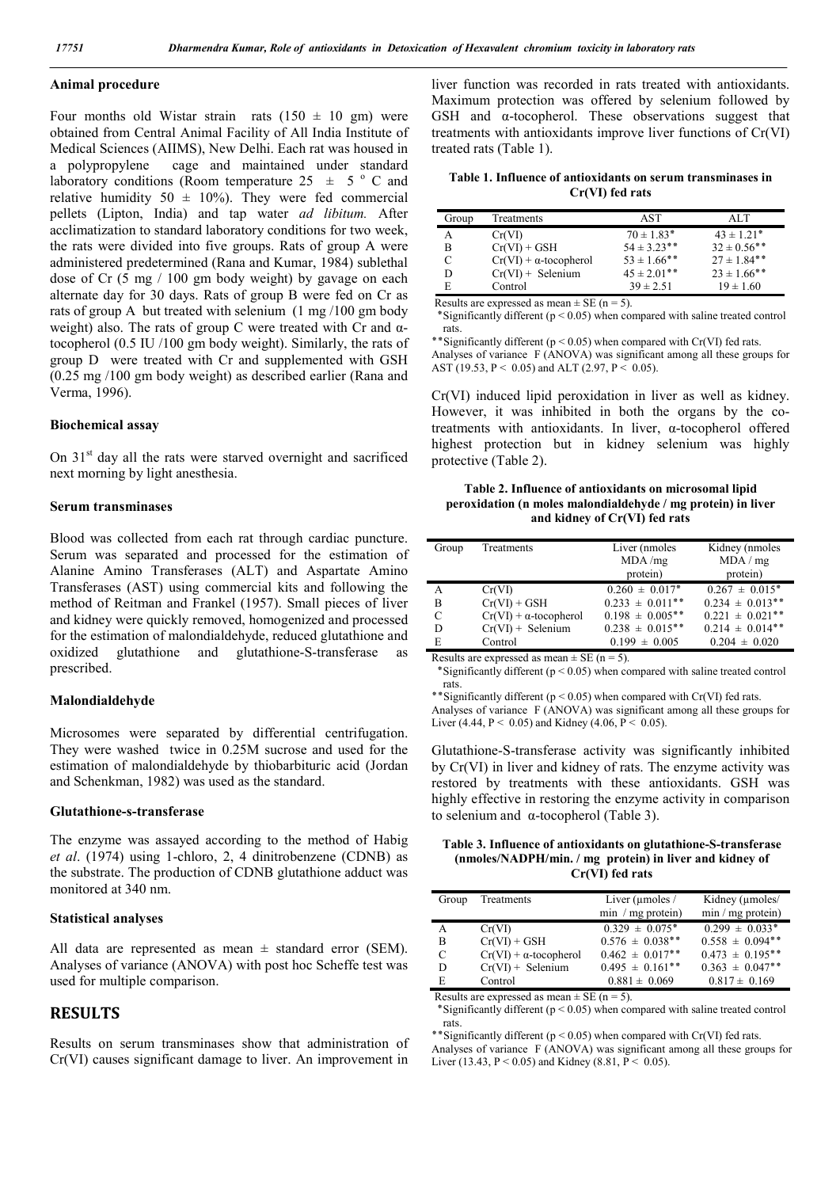### **Animal procedure**

Four months old Wistar strain rats  $(150 \pm 10 \text{ gm})$  were obtained from Central Animal Facility of All India Institute of Medical Sciences (AIIMS), New Delhi. Each rat was housed in a polypropylene cage and maintained under standard laboratory conditions (Room temperature 25  $\pm$  5  $\degree$  C and relative humidity 50  $\pm$  10%). They were fed commercial pellets (Lipton, India) and tap water *ad libitum.* After acclimatization to standard laboratory conditions for two week, the rats were divided into five groups. Rats of group A were administered predetermined (Rana and Kumar, 1984) sublethal dose of Cr (5 mg / 100 gm body weight) by gavage on each alternate day for 30 days. Rats of group B were fed on Cr as rats of group A but treated with selenium (1 mg /100 gm body weight) also. The rats of group C were treated with Cr and  $\alpha$ tocopherol (0.5 IU /100 gm body weight). Similarly, the rats of group D were treated with Cr and supplemented with GSH (0.25 mg /100 gm body weight) as described earlier (Rana and Verma, 1996).

#### **Biochemical assay**

On  $31<sup>st</sup>$  day all the rats were starved overnight and sacrificed next morning by light anesthesia.

#### **Serum transminases**

Blood was collected from each rat through cardiac puncture. Serum was separated and processed for the estimation of Alanine Amino Transferases (ALT) and Aspartate Amino Transferases (AST) using commercial kits and following the method of Reitman and Frankel (1957). Small pieces of liver and kidney were quickly removed, homogenized and processed for the estimation of malondialdehyde, reduced glutathione and oxidized glutathione and glutathione-S-transferase as prescribed.

#### **Malondialdehyde**

Microsomes were separated by differential centrifugation. They were washed twice in 0.25M sucrose and used for the estimation of malondialdehyde by thiobarbituric acid (Jordan and Schenkman, 1982) was used as the standard.

#### **Glutathione-s-transferase**

The enzyme was assayed according to the method of Habig *et al*. (1974) using 1-chloro, 2, 4 dinitrobenzene (CDNB) as the substrate. The production of CDNB glutathione adduct was monitored at 340 nm.

### **Statistical analyses**

All data are represented as mean  $\pm$  standard error (SEM). Analyses of variance (ANOVA) with post hoc Scheffe test was used for multiple comparison.

# **RESULTS**

Results on serum transminases show that administration of Cr(VI) causes significant damage to liver. An improvement in

liver function was recorded in rats treated with antioxidants. Maximum protection was offered by selenium followed by GSH and  $\alpha$ -tocopherol. These observations suggest that treatments with antioxidants improve liver functions of Cr(VI) treated rats (Table 1).

**Table 1. Influence of antioxidants on serum transminases in Cr(VI) fed rats**

| Group | Treatments                    | AST              | ALT              |
|-------|-------------------------------|------------------|------------------|
| А     | Cr(VI)                        | $70 \pm 1.83*$   | $43 \pm 1.21$ *  |
| R     | $Cr(VI) + GSH$                | $54 \pm 3.23$ ** | $32 \pm 0.56$ ** |
| C     | $Cr(VI) + \alpha$ -tocopherol | $53 \pm 1.66$ ** | $27 \pm 1.84$ ** |
| D     | $Cr(VI)$ + Selenium           | $45 \pm 2.01$ ** | $23 \pm 1.66$ ** |
| E     | Control                       | $39 \pm 2.51$    | $19 \pm 1.60$    |

Results are expressed as mean  $\pm$  SE (n = 5).

\*Significantly different ( $p < 0.05$ ) when compared with saline treated control rats.

\*\* Significantly different ( $p < 0.05$ ) when compared with Cr(VI) fed rats.

Analyses of variance F (ANOVA) was significant among all these groups for AST (19.53, P < 0.05) and ALT (2.97, P < 0.05).

Cr(VI) induced lipid peroxidation in liver as well as kidney. However, it was inhibited in both the organs by the cotreatments with antioxidants. In liver, α-tocopherol offered highest protection but in kidney selenium was highly protective (Table 2).

**Table 2. Influence of antioxidants on microsomal lipid peroxidation (n moles malondialdehyde / mg protein) in liver and kidney of Cr(VI) fed rats**

| Group | Treatments                    | Liver (nmoles<br>MDA/mg | Kidney (nmoles<br>MDA/mg       |
|-------|-------------------------------|-------------------------|--------------------------------|
|       |                               | protein)                | protein)                       |
| А     | Cr(VI)                        | $0.260 \pm 0.017$ *     | $0.267 \pm 0.015$ <sup>*</sup> |
| B     | $Cr(VI) + GSH$                | $0.233 \pm 0.011$ **    | $0.234 \pm 0.013$ **           |
| C     | $Cr(VI) + \alpha$ -tocopherol | $0.198 \pm 0.005$ **    | $0.221 \pm 0.021$ **           |
| D     | $Cr(VI)$ + Selenium           | $0.238 \pm 0.015$ **    | $0.214 \pm 0.014$ **           |
| E     | Control                       | $0.199 \pm 0.005$       | $0.204 \pm 0.020$              |

Results are expressed as mean  $\pm$  SE (n = 5).

\*Significantly different ( $p < 0.05$ ) when compared with saline treated control rats.

\*\*Significantly different ( $p < 0.05$ ) when compared with Cr(VI) fed rats.

Analyses of variance F (ANOVA) was significant among all these groups for Liver (4.44, P < 0.05) and Kidney (4.06, P < 0.05).

Glutathione-S-transferase activity was significantly inhibited by Cr(VI) in liver and kidney of rats. The enzyme activity was restored by treatments with these antioxidants. GSH was highly effective in restoring the enzyme activity in comparison to selenium and α-tocopherol (Table 3).

**Table 3. Influence of antioxidants on glutathione-S-transferase (nmoles/NADPH/min. / mg protein) in liver and kidney of Cr(VI) fed rats**

| Group                                         | Treatments                    | Liver ( $\mu$ moles /          | Kidney (µmoles/      |  |
|-----------------------------------------------|-------------------------------|--------------------------------|----------------------|--|
|                                               |                               | $min / mg$ protein)            | $min / mg$ protein)  |  |
| A                                             | Cr(VI)                        | $0.329 \pm 0.075$ <sup>*</sup> | $0.299 \pm 0.033$ *  |  |
| B                                             | $Cr(VI) + GSH$                | $0.576 \pm 0.038$ **           | $0.558 \pm 0.094$ ** |  |
| C                                             | $Cr(VI) + \alpha$ -tocopherol | $0.462 \pm 0.017$ **           | $0.473 \pm 0.195$ ** |  |
| D                                             | $Cr(VI)$ + Selenium           | $0.495 \pm 0.161$ **           | $0.363 \pm 0.047$ ** |  |
| E                                             | Control                       | $0.881 \pm 0.069$              | $0.817 \pm 0.169$    |  |
| Double are expressed as mean $\pm$ CE (n = 5) |                               |                                |                      |  |

Results are expressed as mean  $\pm$  SE (n = 5).

\*Significantly different ( $p < 0.05$ ) when compared with saline treated control rats.

\*Significantly different ( $p < 0.05$ ) when compared with Cr(VI) fed rats.

Analyses of variance F (ANOVA) was significant among all these groups for Liver (13.43,  $P < 0.05$ ) and Kidney (8.81,  $P < 0.05$ ).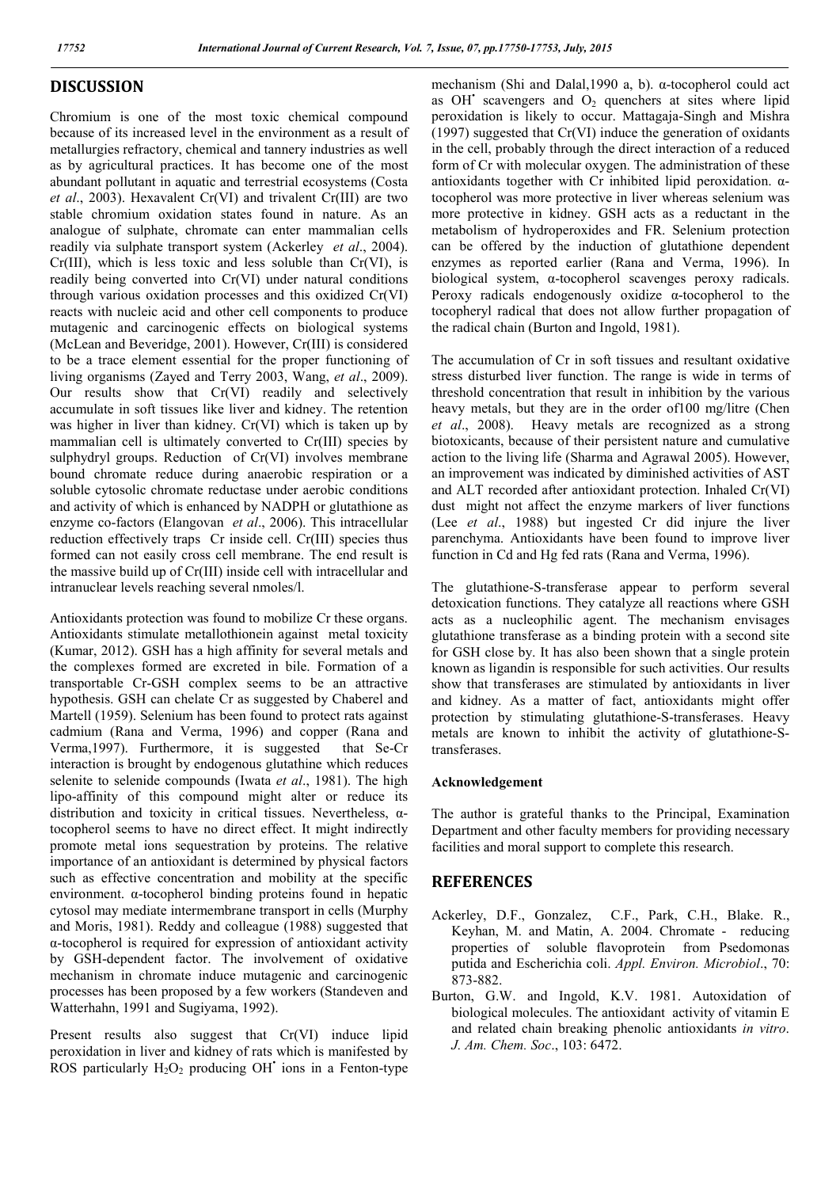# **DISCUSSION**

Chromium is one of the most toxic chemical compound because of its increased level in the environment as a result of metallurgies refractory, chemical and tannery industries as well as by agricultural practices. It has become one of the most abundant pollutant in aquatic and terrestrial ecosystems (Costa *et al*., 2003). Hexavalent Cr(VI) and trivalent Cr(III) are two stable chromium oxidation states found in nature. As an analogue of sulphate, chromate can enter mammalian cells readily via sulphate transport system (Ackerley *et al*., 2004).  $Cr(III)$ , which is less toxic and less soluble than  $Cr(VI)$ , is readily being converted into Cr(VI) under natural conditions through various oxidation processes and this oxidized Cr(VI) reacts with nucleic acid and other cell components to produce mutagenic and carcinogenic effects on biological systems (McLean and Beveridge, 2001). However, Cr(III) is considered to be a trace element essential for the proper functioning of living organisms (Zayed and Terry 2003, Wang, *et al*., 2009). Our results show that Cr(VI) readily and selectively accumulate in soft tissues like liver and kidney. The retention was higher in liver than kidney. Cr(VI) which is taken up by mammalian cell is ultimately converted to Cr(III) species by sulphydryl groups. Reduction of Cr(VI) involves membrane bound chromate reduce during anaerobic respiration or a soluble cytosolic chromate reductase under aerobic conditions and activity of which is enhanced by NADPH or glutathione as enzyme co-factors (Elangovan *et al*., 2006). This intracellular reduction effectively traps Cr inside cell. Cr(III) species thus formed can not easily cross cell membrane. The end result is the massive build up of Cr(III) inside cell with intracellular and intranuclear levels reaching several nmoles/l.

Antioxidants protection was found to mobilize Cr these organs. Antioxidants stimulate metallothionein against metal toxicity (Kumar, 2012). GSH has a high affinity for several metals and the complexes formed are excreted in bile. Formation of a transportable Cr-GSH complex seems to be an attractive hypothesis. GSH can chelate Cr as suggested by Chaberel and Martell (1959). Selenium has been found to protect rats against cadmium (Rana and Verma, 1996) and copper (Rana and Verma,1997). Furthermore, it is suggested that Se-Cr interaction is brought by endogenous glutathine which reduces selenite to selenide compounds (Iwata *et al*., 1981). The high lipo-affinity of this compound might alter or reduce its distribution and toxicity in critical tissues. Nevertheless, αtocopherol seems to have no direct effect. It might indirectly promote metal ions sequestration by proteins. The relative importance of an antioxidant is determined by physical factors such as effective concentration and mobility at the specific environment. α-tocopherol binding proteins found in hepatic cytosol may mediate intermembrane transport in cells (Murphy and Moris, 1981). Reddy and colleague (1988) suggested that α-tocopherol is required for expression of antioxidant activity by GSH-dependent factor. The involvement of oxidative mechanism in chromate induce mutagenic and carcinogenic processes has been proposed by a few workers (Standeven and Watterhahn, 1991 and Sugiyama, 1992).

Present results also suggest that Cr(VI) induce lipid peroxidation in liver and kidney of rats which is manifested by ROS particularly  $H_2O_2$  producing OH<sup> $\cdot$ </sup> ions in a Fenton-type mechanism (Shi and Dalal,1990 a, b). α-tocopherol could act as OH $\degree$  scavengers and  $O_2$  quenchers at sites where lipid peroxidation is likely to occur. Mattagaja-Singh and Mishra (1997) suggested that Cr(VI) induce the generation of oxidants in the cell, probably through the direct interaction of a reduced form of Cr with molecular oxygen. The administration of these antioxidants together with Cr inhibited lipid peroxidation. αtocopherol was more protective in liver whereas selenium was more protective in kidney. GSH acts as a reductant in the metabolism of hydroperoxides and FR. Selenium protection can be offered by the induction of glutathione dependent enzymes as reported earlier (Rana and Verma, 1996). In biological system, α-tocopherol scavenges peroxy radicals. Peroxy radicals endogenously oxidize α-tocopherol to the tocopheryl radical that does not allow further propagation of the radical chain (Burton and Ingold, 1981).

The accumulation of Cr in soft tissues and resultant oxidative stress disturbed liver function. The range is wide in terms of threshold concentration that result in inhibition by the various heavy metals, but they are in the order of100 mg/litre (Chen *et al*., 2008). Heavy metals are recognized as a strong biotoxicants, because of their persistent nature and cumulative action to the living life (Sharma and Agrawal 2005). However, an improvement was indicated by diminished activities of AST and ALT recorded after antioxidant protection. Inhaled Cr(VI) dust might not affect the enzyme markers of liver functions (Lee *et al*., 1988) but ingested Cr did injure the liver parenchyma. Antioxidants have been found to improve liver function in Cd and Hg fed rats (Rana and Verma, 1996).

The glutathione-S-transferase appear to perform several detoxication functions. They catalyze all reactions where GSH acts as a nucleophilic agent. The mechanism envisages glutathione transferase as a binding protein with a second site for GSH close by. It has also been shown that a single protein known as ligandin is responsible for such activities. Our results show that transferases are stimulated by antioxidants in liver and kidney. As a matter of fact, antioxidants might offer protection by stimulating glutathione-S-transferases. Heavy metals are known to inhibit the activity of glutathione-Stransferases.

#### **Acknowledgement**

The author is grateful thanks to the Principal, Examination Department and other faculty members for providing necessary facilities and moral support to complete this research.

## **REFERENCES**

- Ackerley, D.F., Gonzalez, C.F., Park, C.H., Blake. R., Keyhan, M. and Matin, A. 2004. Chromate - reducing properties of soluble flavoprotein from Psedomonas putida and Escherichia coli. *Appl. Environ. Microbiol*., 70: 873-882.
- Burton, G.W. and Ingold, K.V. 1981. Autoxidation of biological molecules. The antioxidant activity of vitamin E and related chain breaking phenolic antioxidants *in vitro*. *J. Am. Chem. Soc*., 103: 6472.